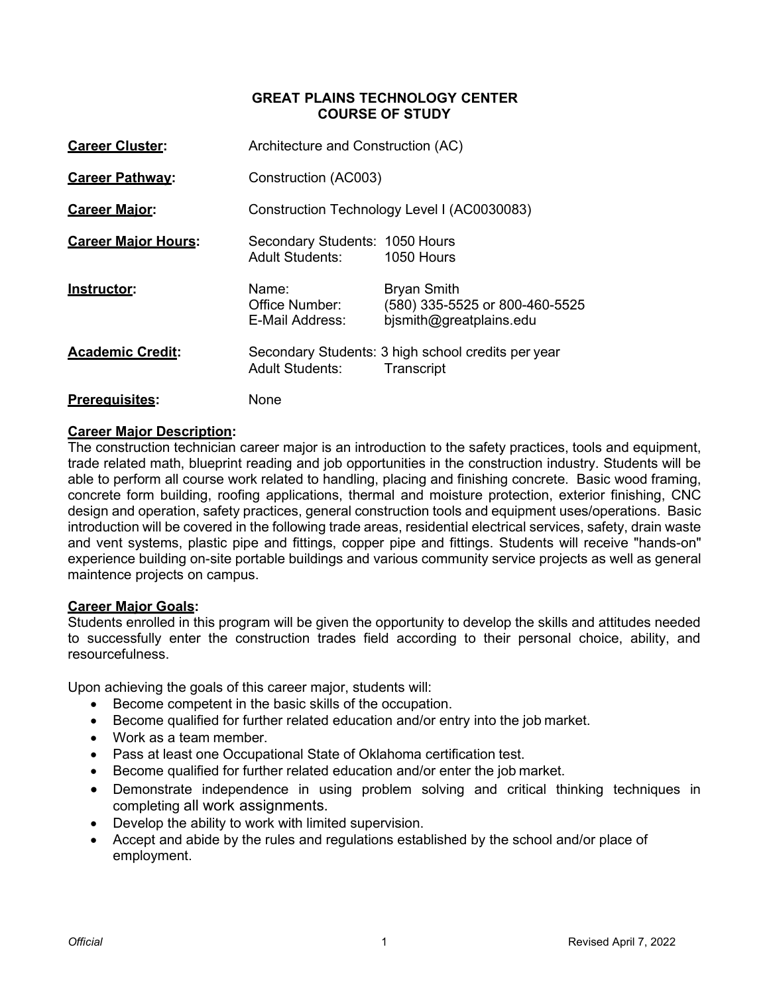### **GREAT PLAINS TECHNOLOGY CENTER COURSE OF STUDY**

| <b>Career Cluster:</b>     | Architecture and Construction (AC)                       |                                                                                 |
|----------------------------|----------------------------------------------------------|---------------------------------------------------------------------------------|
| <b>Career Pathway:</b>     | Construction (AC003)                                     |                                                                                 |
| <b>Career Major:</b>       |                                                          | Construction Technology Level I (AC0030083)                                     |
| <b>Career Maior Hours:</b> | Secondary Students: 1050 Hours<br><b>Adult Students:</b> | 1050 Hours                                                                      |
| Instructor:                | Name <sup>.</sup><br>Office Number:<br>E-Mail Address:   | <b>Bryan Smith</b><br>(580) 335-5525 or 800-460-5525<br>bismith@greatplains.edu |
| <b>Academic Credit:</b>    | <b>Adult Students:</b>                                   | Secondary Students: 3 high school credits per year<br>Transcript                |
| <b>Prerequisites:</b>      | None                                                     |                                                                                 |

# **Career Major Description:**

The construction technician career major is an introduction to the safety practices, tools and equipment, trade related math, blueprint reading and job opportunities in the construction industry. Students will be able to perform all course work related to handling, placing and finishing concrete. Basic wood framing, concrete form building, roofing applications, thermal and moisture protection, exterior finishing, CNC design and operation, safety practices, general construction tools and equipment uses/operations. Basic introduction will be covered in the following trade areas, residential electrical services, safety, drain waste and vent systems, plastic pipe and fittings, copper pipe and fittings. Students will receive "hands-on" experience building on-site portable buildings and various community service projects as well as general maintence projects on campus.

### **Career Major Goals:**

Students enrolled in this program will be given the opportunity to develop the skills and attitudes needed to successfully enter the construction trades field according to their personal choice, ability, and resourcefulness.

Upon achieving the goals of this career major, students will:

- Become competent in the basic skills of the occupation.
- Become qualified for further related education and/or entry into the job market.
- Work as a team member.
- Pass at least one Occupational State of Oklahoma certification test.
- Become qualified for further related education and/or enter the job market.
- Demonstrate independence in using problem solving and critical thinking techniques in completing all work assignments.
- Develop the ability to work with limited supervision.
- Accept and abide by the rules and regulations established by the school and/or place of employment.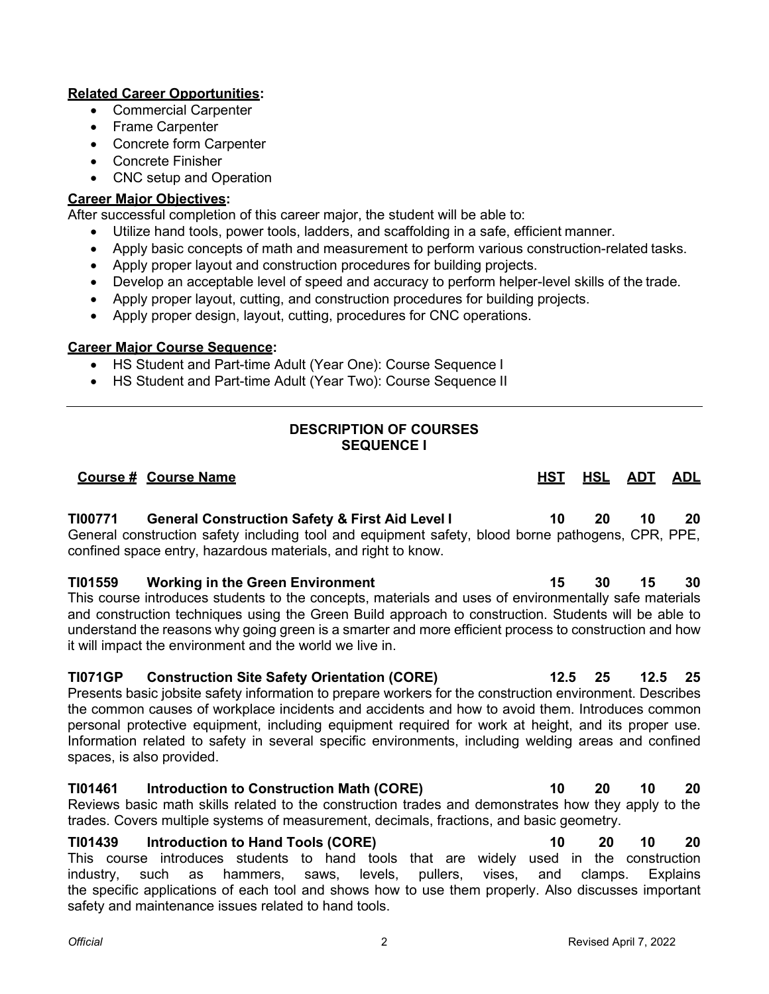# **Related Career Opportunities:**

- Commercial Carpenter
- Frame Carpenter
- Concrete form Carpenter
- Concrete Finisher
- CNC setup and Operation

### **Career Major Objectives:**

After successful completion of this career major, the student will be able to:

- Utilize hand tools, power tools, ladders, and scaffolding in a safe, efficient manner.
- Apply basic concepts of math and measurement to perform various construction-related tasks.
- Apply proper layout and construction procedures for building projects.
- Develop an acceptable level of speed and accuracy to perform helper-level skills of the trade.
- Apply proper layout, cutting, and construction procedures for building projects.
- Apply proper design, layout, cutting, procedures for CNC operations.

### **Career Major Course Sequence:**

- HS Student and Part-time Adult (Year One): Course Sequence I
- HS Student and Part-time Adult (Year Two): Course Sequence II

# **DESCRIPTION OF COURSES SEQUENCE I**

# **Course # Course Name HST HSL ADT ADL TI00771 General Construction Safety & First Aid Level I 10 20 10 20** General construction safety including tool and equipment safety, blood borne pathogens, CPR, PPE, confined space entry, hazardous materials, and right to know. **TI01559 Working in the Green Environment 15 30 15 30** This course introduces students to the concepts, materials and uses of environmentally safe materials and construction techniques using the Green Build approach to construction. Students will be able to understand the reasons why going green is a smarter and more efficient process to construction and how it will impact the environment and the world we live in. **TI071GP Construction Site Safety Orientation (CORE) 12.5 25 12.5 25** Presents basic jobsite safety information to prepare workers for the construction environment. Describes the common causes of workplace incidents and accidents and how to avoid them. Introduces common personal protective equipment, including equipment required for work at height, and its proper use. Information related to safety in several specific environments, including welding areas and confined spaces, is also provided. **TI01461 Introduction to Construction Math (CORE) 10 20 10 20** Reviews basic math skills related to the construction trades and demonstrates how they apply to the trades. Covers multiple systems of measurement, decimals, fractions, and basic geometry.

**TI01439 Introduction to Hand Tools (CORE) 10 20 10 20** This course introduces students to hand tools that are widely used in the construction industry, such as hammers, saws, levels, pullers, vises, and clamps. Explains the specific applications of each tool and shows how to use them properly. Also discusses important safety and maintenance issues related to hand tools.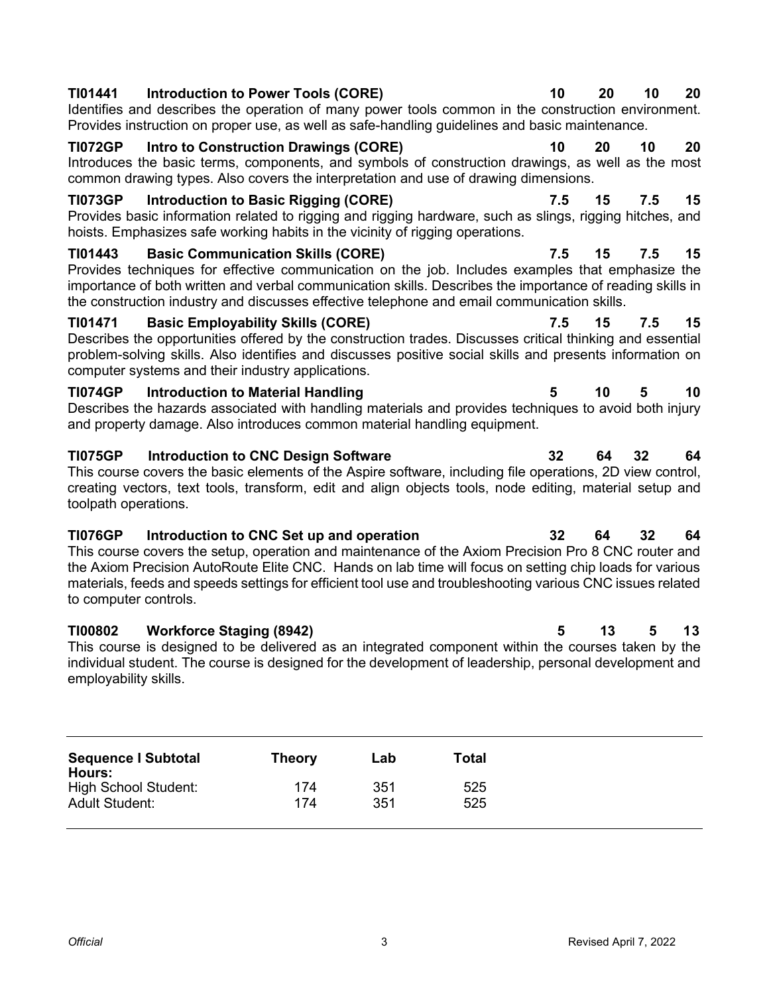| TI01441<br>Introduction to Power Tools (CORE)<br>Identifies and describes the operation of many power tools common in the construction environment.<br>Provides instruction on proper use, as well as safe-handling guidelines and basic maintenance.                                                                                                                                                               | 10  | 20 | 10  | 20 |
|---------------------------------------------------------------------------------------------------------------------------------------------------------------------------------------------------------------------------------------------------------------------------------------------------------------------------------------------------------------------------------------------------------------------|-----|----|-----|----|
| <b>Intro to Construction Drawings (CORE)</b><br><b>TI072GP</b><br>Introduces the basic terms, components, and symbols of construction drawings, as well as the most<br>common drawing types. Also covers the interpretation and use of drawing dimensions.                                                                                                                                                          | 10  | 20 | 10  | 20 |
| <b>TI073GP</b><br>Introduction to Basic Rigging (CORE)<br>Provides basic information related to rigging and rigging hardware, such as slings, rigging hitches, and<br>hoists. Emphasizes safe working habits in the vicinity of rigging operations.                                                                                                                                                                 | 7.5 | 15 | 7.5 | 15 |
| TI01443<br><b>Basic Communication Skills (CORE)</b><br>Provides techniques for effective communication on the job. Includes examples that emphasize the<br>importance of both written and verbal communication skills. Describes the importance of reading skills in<br>the construction industry and discusses effective telephone and email communication skills.                                                 | 7.5 | 15 | 7.5 | 15 |
| TI01471<br><b>Basic Employability Skills (CORE)</b><br>Describes the opportunities offered by the construction trades. Discusses critical thinking and essential<br>problem-solving skills. Also identifies and discusses positive social skills and presents information on<br>computer systems and their industry applications.                                                                                   | 7.5 | 15 | 7.5 | 15 |
| <b>TI074GP</b><br><b>Introduction to Material Handling</b><br>Describes the hazards associated with handling materials and provides techniques to avoid both injury<br>and property damage. Also introduces common material handling equipment.                                                                                                                                                                     | 5   | 10 | 5   | 10 |
| <b>TI075GP</b><br><b>Introduction to CNC Design Software</b><br>This course covers the basic elements of the Aspire software, including file operations, 2D view control,<br>creating vectors, text tools, transform, edit and align objects tools, node editing, material setup and<br>toolpath operations.                                                                                                        | 32  | 64 | 32  | 64 |
| <b>TI076GP</b><br>Introduction to CNC Set up and operation<br>This course covers the setup, operation and maintenance of the Axiom Precision Pro 8 CNC router and<br>the Axiom Precision AutoRoute Elite CNC. Hands on lab time will focus on setting chip loads for various<br>materials, feeds and speeds settings for efficient tool use and troubleshooting various CNC issues related<br>to computer controls. | 32  | 64 | 32  | 64 |
| <b>TI00802</b><br><b>Workforce Staging (8942)</b><br>This course is designed to be delivered as an integrated component within the courses taken by the<br>individual student. The course is designed for the development of leadership, personal development and<br>employability skills.                                                                                                                          | 5   | 13 | 5   | 13 |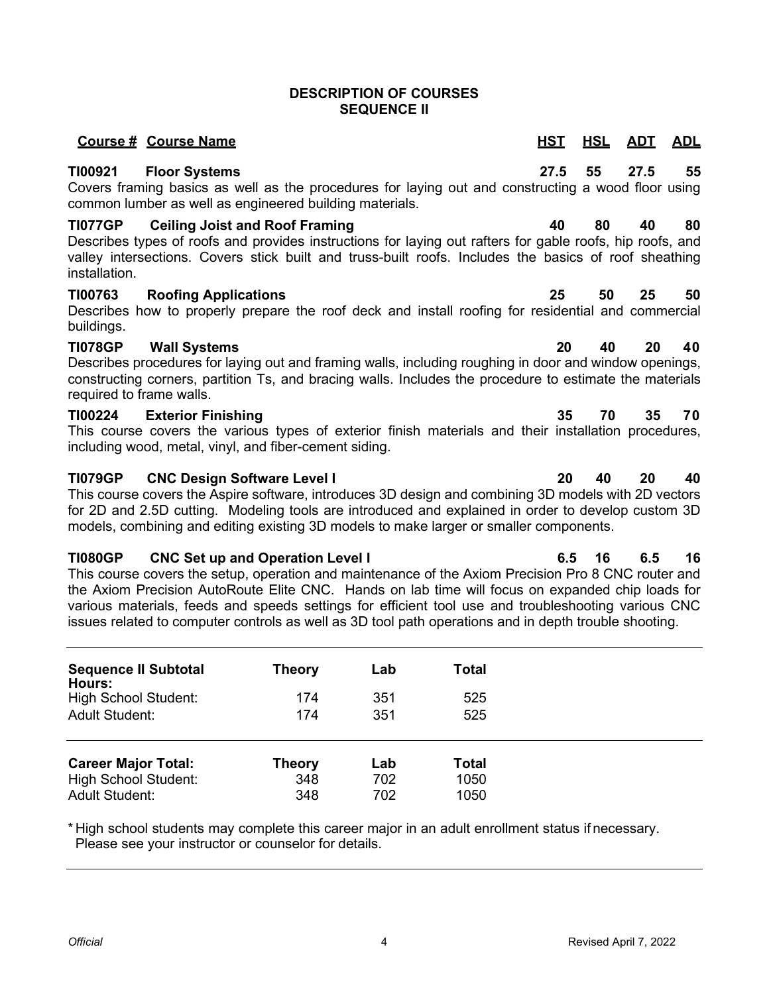### **DESCRIPTION OF COURSES SEQUENCE II**

# **TI00921 Floor Systems 27.5 55 27.5 55**

Covers framing basics as well as the procedures for laying out and constructing a wood floor using common lumber as well as engineered building materials.

### **TI077GP Ceiling Joist and Roof Framing 40 80 40 80**

Describes types of roofs and provides instructions for laying out rafters for gable roofs, hip roofs, and valley intersections. Covers stick built and truss-built roofs. Includes the basics of roof sheathing installation.

### **TI00763 Roofing Applications 25 50 25 50**

Describes how to properly prepare the roof deck and install roofing for residential and commercial buildings.

### **TI078GP Wall Systems 20 40 20 40**

Describes procedures for laying out and framing walls, including roughing in door and window openings, constructing corners, partition Ts, and bracing walls. Includes the procedure to estimate the materials required to frame walls.

### **TI00224 Exterior Finishing 35 70 35 70**

This course covers the various types of exterior finish materials and their installation procedures, including wood, metal, vinyl, and fiber-cement siding.

### **TI079GP CNC Design Software Level I 20 40 20 40**

This course covers the Aspire software, introduces 3D design and combining 3D models with 2D vectors for 2D and 2.5D cutting. Modeling tools are introduced and explained in order to develop custom 3D models, combining and editing existing 3D models to make larger or smaller components.

### **TI080GP CNC Set up and Operation Level I 6.5 16 6.5 16**

This course covers the setup, operation and maintenance of the Axiom Precision Pro 8 CNC router and the Axiom Precision AutoRoute Elite CNC. Hands on lab time will focus on expanded chip loads for various materials, feeds and speeds settings for efficient tool use and troubleshooting various CNC issues related to computer controls as well as 3D tool path operations and in depth trouble shooting.

| <b>Sequence II Subtotal</b><br>Hours:<br>High School Student:<br><b>Adult Student:</b> | <b>Theory</b><br>174<br>174 | Lab<br>351<br>351 | Total<br>525<br>525 |
|----------------------------------------------------------------------------------------|-----------------------------|-------------------|---------------------|
| <b>Career Major Total:</b>                                                             | <b>Theory</b>               | Lab               | Total               |
| <b>High School Student:</b>                                                            | 348                         | 702               | 1050                |
| <b>Adult Student:</b>                                                                  | 348                         | 702               | 1050                |

\* High school students may complete this career major in an adult enrollment status if necessary. Please see your instructor or counselor for details.

# **Course # Course Name HST HSL ADT ADL**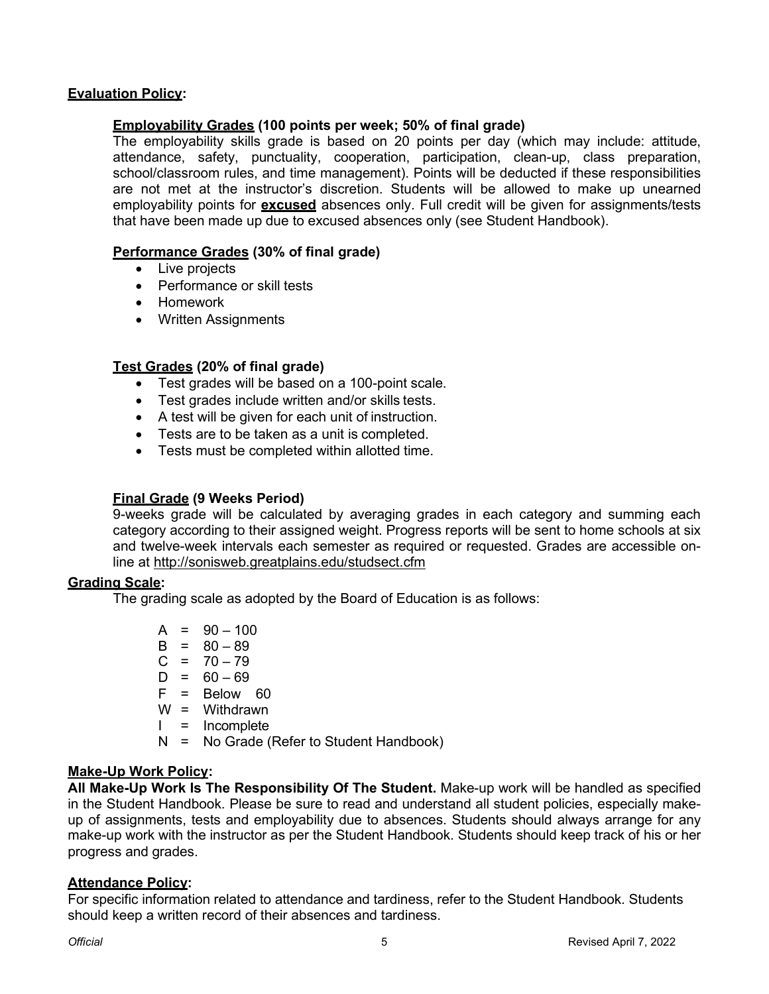### **Evaluation Policy:**

# **Employability Grades (100 points per week; 50% of final grade)**

The employability skills grade is based on 20 points per day (which may include: attitude, attendance, safety, punctuality, cooperation, participation, clean-up, class preparation, school/classroom rules, and time management). Points will be deducted if these responsibilities are not met at the instructor's discretion. Students will be allowed to make up unearned employability points for **excused** absences only. Full credit will be given for assignments/tests that have been made up due to excused absences only (see Student Handbook).

### **Performance Grades (30% of final grade)**

- Live projects
- Performance or skill tests
- Homework
- Written Assignments

# **Test Grades (20% of final grade)**

- Test grades will be based on a 100-point scale.
- Test grades include written and/or skills tests.
- A test will be given for each unit of instruction.
- Tests are to be taken as a unit is completed.
- Tests must be completed within allotted time.

### **Final Grade (9 Weeks Period)**

9-weeks grade will be calculated by averaging grades in each category and summing each category according to their assigned weight. Progress reports will be sent to home schools at six and twelve-week intervals each semester as required or requested. Grades are accessible online at <http://sonisweb.greatplains.edu/studsect.cfm>

### **Grading Scale:**

The grading scale as adopted by the Board of Education is as follows:

- $A = 90 100$  $B = 80 - 89$  $C = 70 - 79$  $D = 60 - 69$  $F = Below 60$ W = Withdrawn I = Incomplete
- N = No Grade (Refer to Student Handbook)

### **Make-Up Work Policy:**

**All Make-Up Work Is The Responsibility Of The Student.** Make-up work will be handled as specified in the Student Handbook. Please be sure to read and understand all student policies, especially makeup of assignments, tests and employability due to absences. Students should always arrange for any make-up work with the instructor as per the Student Handbook. Students should keep track of his or her progress and grades.

### **Attendance Policy:**

For specific information related to attendance and tardiness, refer to the Student Handbook. Students should keep a written record of their absences and tardiness.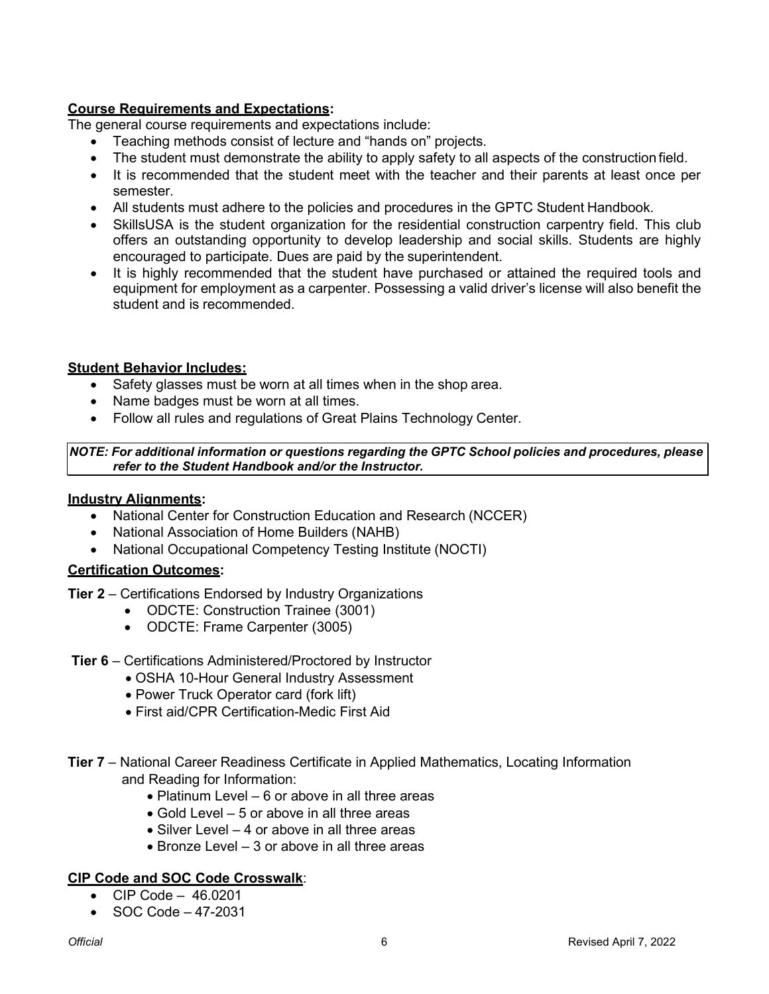# **Course Requirements and Expectations:**

The general course requirements and expectations include:

- Teaching methods consist of lecture and "hands on" projects.
- The student must demonstrate the ability to apply safety to all aspects of the construction field.
- It is recommended that the student meet with the teacher and their parents at least once per semester.
- All students must adhere to the policies and procedures in the GPTC Student Handbook.
- SkillsUSA is the student organization for the residential construction carpentry field. This club offers an outstanding opportunity to develop leadership and social skills. Students are highly encouraged to participate. Dues are paid by the superintendent.
- It is highly recommended that the student have purchased or attained the required tools and equipment for employment as a carpenter. Possessing a valid driver's license will also benefit the student and is recommended.

# **Student Behavior Includes:**

- Safety glasses must be worn at all times when in the shop area.
- Name badges must be worn at all times.
- Follow all rules and regulations of Great Plains Technology Center.

### *NOTE: For additional information or questions regarding the GPTC School policies and procedures, please refer to the Student Handbook and/or the Instructor.*

### **Industry Alignments:**

- National Center for Construction Education and Research (NCCER)
- National Association of Home Builders (NAHB)
- National Occupational Competency Testing Institute (NOCTI)

### **Certification Outcomes:**

**Tier 2** – Certifications Endorsed by Industry Organizations

- ODCTE: Construction Trainee (3001)
- ODCTE: Frame Carpenter (3005)
- **Tier 6** Certifications Administered/Proctored by Instructor
	- OSHA 10-Hour General Industry Assessment
	- Power Truck Operator card (fork lift)
	- First aid/CPR Certification-Medic First Aid
- **Tier 7** National Career Readiness Certificate in Applied Mathematics, Locating Information and Reading for Information:
	- Platinum Level 6 or above in all three areas
	- Gold Level 5 or above in all three areas
	- Silver Level 4 or above in all three areas
	- Bronze Level 3 or above in all three areas

### **CIP Code and SOC Code Crosswalk**:

- CIP Code 46.0201
- SOC Code 47-2031